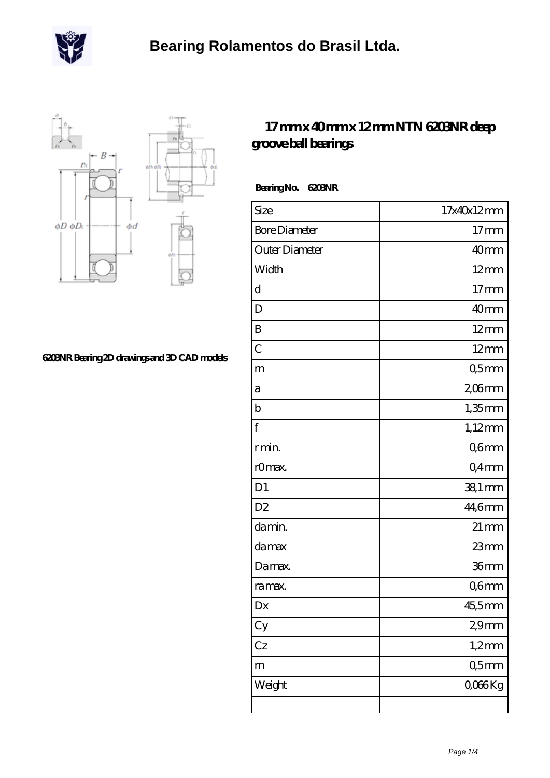



## **[6203NR Bearing 2D drawings and 3D CAD models](https://m.scottrobertalexander.com/pic-539490.html)**

## **[17 mm x 40 mm x 12 mm NTN 6203NR deep](https://m.scottrobertalexander.com/ntn-6203nr-bearing/) [groove ball bearings](https://m.scottrobertalexander.com/ntn-6203nr-bearing/)**

 **Bearing No. 6203NR**

| Size                 | 17x40x12mm         |
|----------------------|--------------------|
| <b>Bore Diameter</b> | 17 <sub>mm</sub>   |
| Outer Diameter       | 40mm               |
| Width                | $12 \text{mm}$     |
| d                    | 17 <sub>mm</sub>   |
| D                    | 40mm               |
| B                    | $12 \text{mm}$     |
| $\mathcal{C}$        | $12 \text{mm}$     |
| m                    | Q5mm               |
| а                    | 206mm              |
| $\mathbf b$          | $1,35$ mm          |
| f                    | $1,12$ mm          |
| r min.               | Q6mm               |
| rOmax.               | Q4mm               |
| D <sub>1</sub>       | $381$ mm           |
| D <sub>2</sub>       | 44,6mm             |
| da min.              | $21 \,\mathrm{mm}$ |
| damax                | 23mm               |
| Damax.               | 36mm               |
| ra max.              | Q6mm               |
| Dx                   | 45,5mm             |
| Cy                   | 29mm               |
| Cz                   | $1,2$ mm           |
| m                    | 05 <sub>mm</sub>   |
| Weight               | Q066Kg             |
|                      |                    |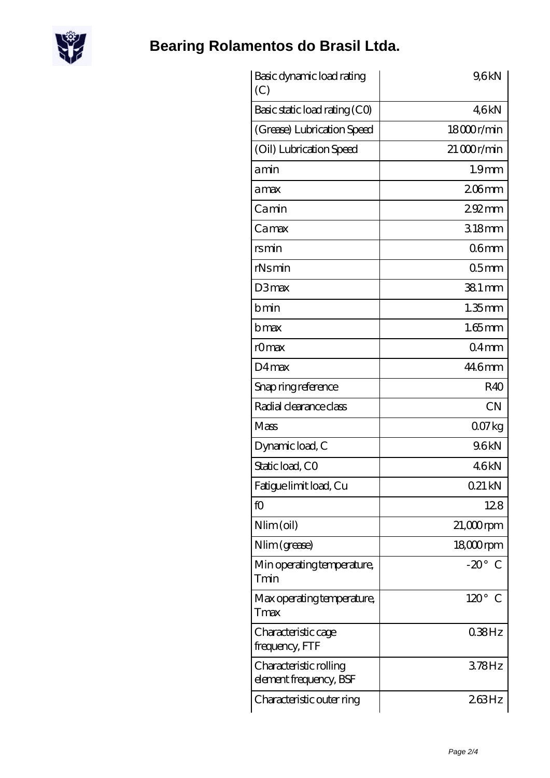

## **[Bearing Rolamentos do Brasil Ltda.](https://m.scottrobertalexander.com)**

| Basic dynamic load rating<br>(C)                 | 9,6kN             |
|--------------------------------------------------|-------------------|
| Basic static load rating (CO)                    | 46kN              |
| (Grease) Lubrication Speed                       | 18000r/min        |
| (Oil) Lubrication Speed                          | $21000$ r/min     |
| amin                                             | 1.9 <sub>mm</sub> |
| amax                                             | $206$ mm          |
| Camin                                            | $292$ mm          |
| Camax                                            | 318mm             |
| rsmin                                            | 06 <sub>mm</sub>  |
| $rN$ s min                                       | 05 <sub>mm</sub>  |
| D3max                                            | 38.1 mm           |
| bmin                                             | $1.35$ mm         |
| bmax                                             | $1.65$ mm         |
| rOmax                                            | $04$ mm           |
| $D4$ max                                         | 446mm             |
| Snap ring reference                              | R40               |
| Radial clearance class                           | <b>CN</b>         |
| Mass                                             | 007kg             |
| Dynamic load, C                                  | 96kN              |
| Static load, CO                                  | 46kN              |
| Fatigue limit load, Cu                           | 021 kN            |
| fO                                               | 128               |
| Nlim (oil)                                       | $21,000$ rpm      |
| Nlim (grease)                                    | 18,000rpm         |
| Min operating temperature,<br>Tmin               | $-20^\circ$ C     |
| Max operating temperature,<br>Tmax               | $120^\circ$ C     |
| Characteristic cage<br>frequency, FTF            | 038Hz             |
| Characteristic rolling<br>element frequency, BSF | 378Hz             |
| Characteristic outer ring                        | 263Hz             |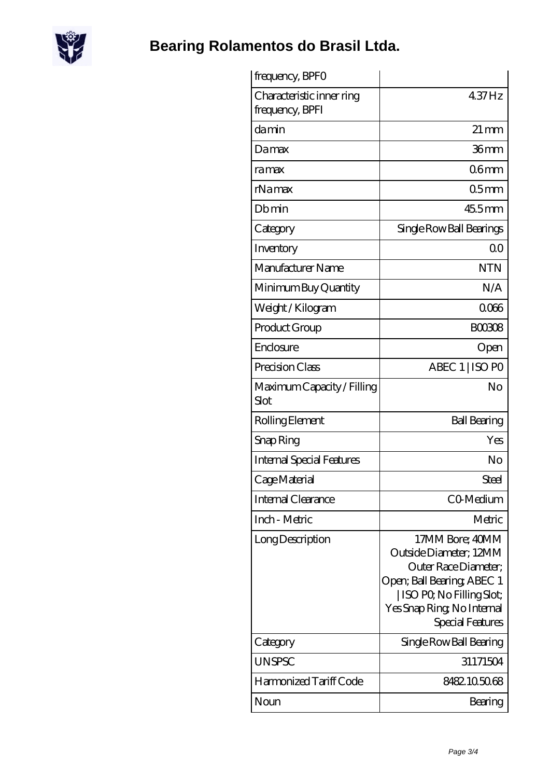

**[Bearing Rolamentos do Brasil Ltda.](https://m.scottrobertalexander.com)**

| frequency, BPFO                              |                                                                                                                                                                                 |
|----------------------------------------------|---------------------------------------------------------------------------------------------------------------------------------------------------------------------------------|
| Characteristic inner ring<br>frequency, BPFI | 437Hz                                                                                                                                                                           |
| damin                                        | $21 \,\mathrm{mm}$                                                                                                                                                              |
| Damax                                        | 36mm                                                                                                                                                                            |
| ra max                                       | 06 <sub>mm</sub>                                                                                                                                                                |
| rNamax                                       | 05 <sub>mm</sub>                                                                                                                                                                |
| Dbmin                                        | $455$ mm                                                                                                                                                                        |
| Category                                     | Single Row Ball Bearings                                                                                                                                                        |
| Inventory                                    | 0 <sup>0</sup>                                                                                                                                                                  |
| Manufacturer Name                            | <b>NTN</b>                                                                                                                                                                      |
| Minimum Buy Quantity                         | N/A                                                                                                                                                                             |
| Weight / Kilogram                            | 0066                                                                                                                                                                            |
| Product Group                                | <b>BOO308</b>                                                                                                                                                                   |
| Enclosure                                    | Open                                                                                                                                                                            |
| Precision Class                              | ABEC 1   ISO PO                                                                                                                                                                 |
| Maximum Capacity / Filling<br>Slot           | No                                                                                                                                                                              |
| Rolling Element                              | <b>Ball Bearing</b>                                                                                                                                                             |
| Snap Ring                                    | Yes                                                                                                                                                                             |
| <b>Internal Special Features</b>             | No                                                                                                                                                                              |
| Cage Material                                | Steel                                                                                                                                                                           |
| Internal Clearance                           | CO-Medium                                                                                                                                                                       |
| Inch - Metric                                | Metric                                                                                                                                                                          |
| Long Description                             | 17MM Bore; 40MM<br>Outside Diameter; 12MM<br>Outer Race Diameter;<br>Open; Ball Bearing; ABEC 1<br>  ISO PO, No Filling Slot;<br>Yes Snap Ring, No Internal<br>Special Features |
| Category                                     | Single Row Ball Bearing                                                                                                                                                         |
| <b>UNSPSC</b>                                | 31171504                                                                                                                                                                        |
| Harmonized Tariff Code                       | 8482105068                                                                                                                                                                      |
| Noun                                         | Bearing                                                                                                                                                                         |